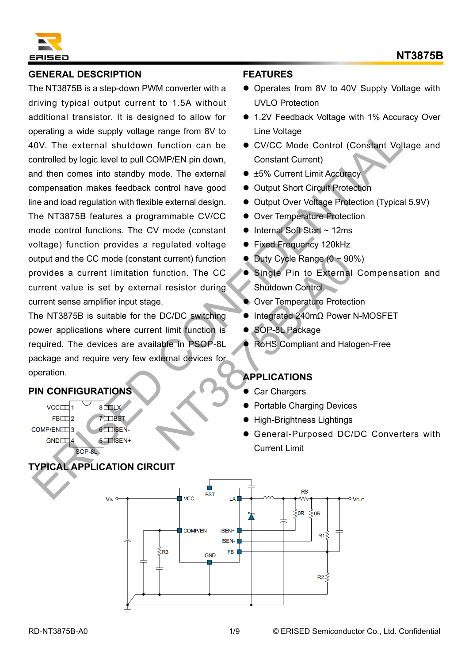

### **GENERAL DESCRIPTION**

The NT3875B is a step-down PWM converter with a driving typical output current to 1.5A without additional transistor. It is designed to allow for operating a wide supply voltage range from 8V to 40V. The external shutdown function can be controlled by logic level to pull COMP/EN pin down, and then comes into standby mode. The external compensation makes feedback control have good line and load regulation with flexible external design. The NT3875B features a programmable CV/CC mode control functions. The CV mode (constant voltage) function provides a regulated voltage output and the CC mode (constant current) function provides a current limitation function. The CC current value is set by external resistor during current sense amplifier input stage. Specialized a subset of the brack of the brack of the brack of the brack of the brack of the brack of the periodic one of the periodic of the external studient of the extended of the extended of the extended of the extende

The NT3875B is suitable for the DC/DC switching power applications where current limit function is required. The devices are available in PSOP-8L package and require very few external devices for operation. The CC Control of Duty Cycle Range (0 ~ 90<br>
Nunction. The CC Control Shutdown Control<br>
Biggie Pin to External<br>
Biggie Pin to External<br>
Biggie Pin to External<br>
Biggie Pin to External<br>
Cover Temperature Protect<br>
Number of S

## **PIN CONFIGURATIONS**

**TYPICAL APPLICATION CIRCUIT**

#### **FEATURES**

- Operates from 8V to 40V Supply Voltage with UVLO Protection
- 1.2V Feedback Voltage with 1% Accuracy Over Line Voltage
- ⚫ CV/CC Mode Control (Constant Voltage and Constant Current)
- ±5% Current Limit Accuracy
- ⚫ Output Short Circuit Protection
- Output Over Voltage Protection (Typical 5.9V)
- ⚫ Over Temperature Protection
- Internal Soft Start ~ 12ms
- Fixed Frequency 120kHz
- $\bullet$  Duty Cycle Range  $(0 \sim 90\%)$
- Single Pin to External Compensation and Shutdown Control
- ⚫ Over Temperature Protection
- ⚫ Integrated 240mΩ Power N-MOSFET
- SOP-8L Package
- ⚫ RoHS Compliant and Halogen-Free

# **APPLICATIONS**

- ⚫ Car Chargers
- ⚫ Portable Charging Devices
- ⚫ High-Brightness Lightings
- ⚫ General-Purposed DC/DC Converters with Current Limit